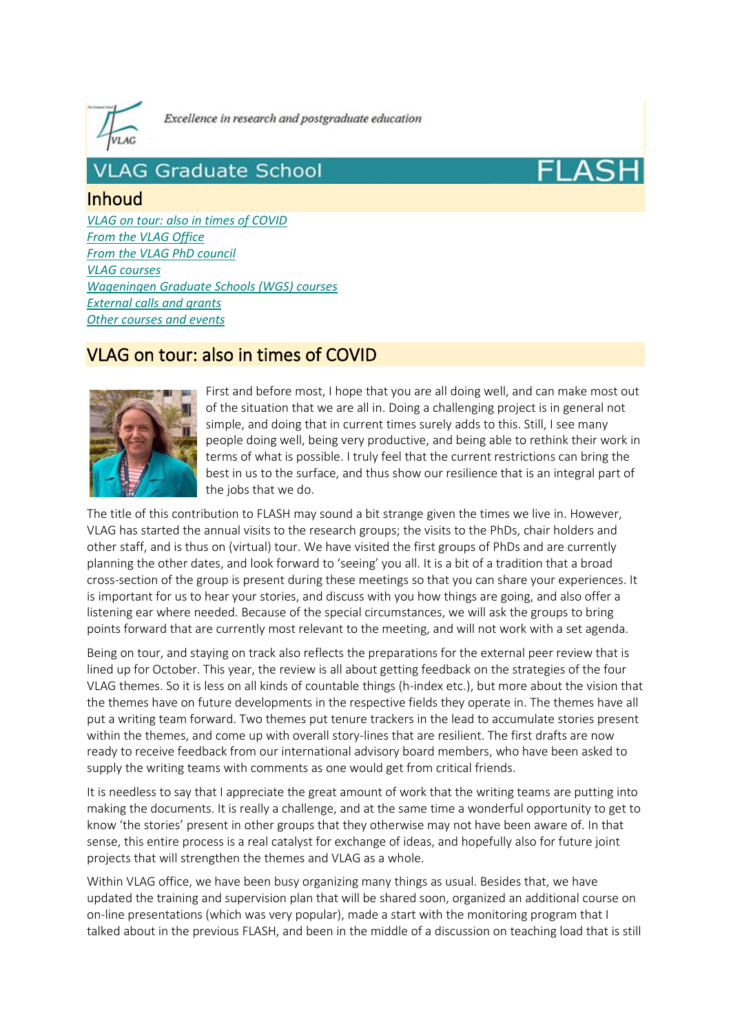

Excellence in research and postgraduate education

# **VLAG Graduate School**

## Inhoud

*VLAG on tour: also in times of COVID From the VLAG Office From the VLAG PhD council VLAG courses Wageningen Graduate Schools (WGS) courses External calls and grants Other courses and events*

# VLAG on tour: also in times of COVID



First and before most, I hope that you are all doing well, and can make most out of the situation that we are all in. Doing a challenging project is in general not simple, and doing that in current times surely adds to this. Still, I see many people doing well, being very productive, and being able to rethink their work in terms of what is possible. I truly feel that the current restrictions can bring the best in us to the surface, and thus show our resilience that is an integral part of the jobs that we do.

The title of this contribution to FLASH may sound a bit strange given the times we live in. However, VLAG has started the annual visits to the research groups; the visits to the PhDs, chair holders and other staff, and is thus on (virtual) tour. We have visited the first groups of PhDs and are currently planning the other dates, and look forward to 'seeing' you all. It is a bit of a tradition that a broad cross-section of the group is present during these meetings so that you can share your experiences. It is important for us to hear your stories, and discuss with you how things are going, and also offer a listening ear where needed. Because of the special circumstances, we will ask the groups to bring points forward that are currently most relevant to the meeting, and will not work with a set agenda.

Being on tour, and staying on track also reflects the preparations for the external peer review that is lined up for October. This year, the review is all about getting feedback on the strategies of the four VLAG themes. So it is less on all kinds of countable things (h-index etc.), but more about the vision that the themes have on future developments in the respective fields they operate in. The themes have all put a writing team forward. Two themes put tenure trackers in the lead to accumulate stories present within the themes, and come up with overall story-lines that are resilient. The first drafts are now ready to receive feedback from our international advisory board members, who have been asked to supply the writing teams with comments as one would get from critical friends.

It is needless to say that I appreciate the great amount of work that the writing teams are putting into making the documents. It is really a challenge, and at the same time a wonderful opportunity to get to know 'the stories' present in other groups that they otherwise may not have been aware of. In that sense, this entire process is a real catalyst for exchange of ideas, and hopefully also for future joint projects that will strengthen the themes and VLAG as a whole.

Within VLAG office, we have been busy organizing many things as usual. Besides that, we have updated the training and supervision plan that will be shared soon, organized an additional course on on-line presentations (which was very popular), made a start with the monitoring program that I talked about in the previous FLASH, and been in the middle of a discussion on teaching load that is still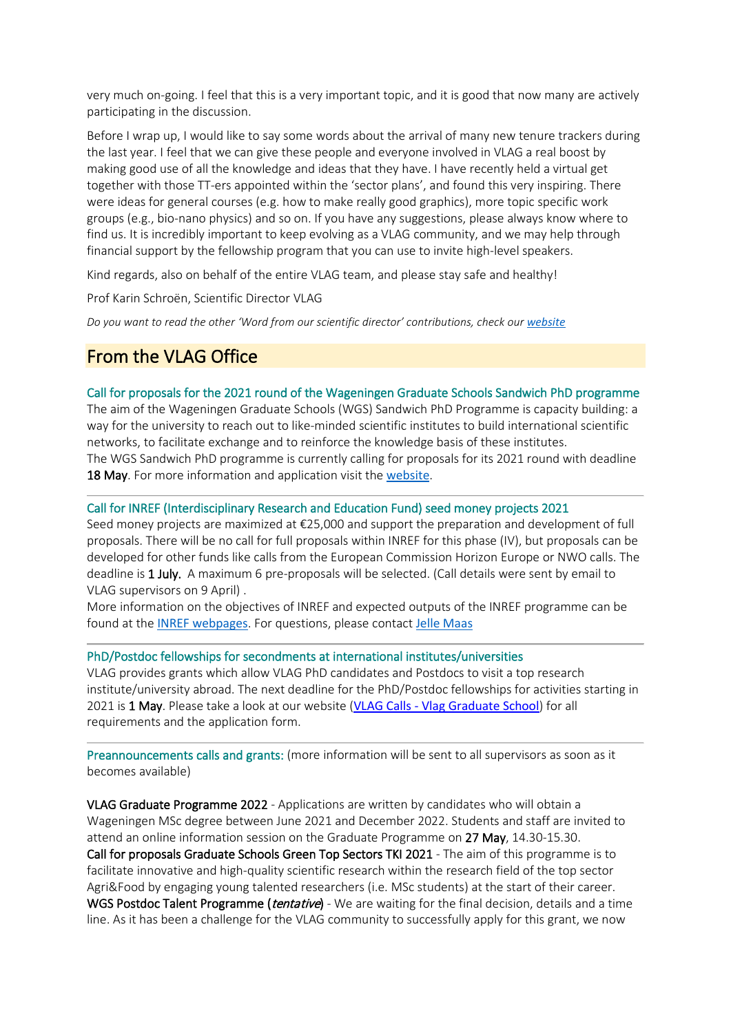very much on-going. I feel that this is a very important topic, and it is good that now many are actively participating in the discussion.

Before I wrap up, I would like to say some words about the arrival of many new tenure trackers during the last year. I feel that we can give these people and everyone involved in VLAG a real boost by making good use of all the knowledge and ideas that they have. I have recently held a virtual get together with those TT-ers appointed within the 'sector plans', and found this very inspiring. There were ideas for general courses (e.g. how to make really good graphics), more topic specific work groups (e.g., bio-nano physics) and so on. If you have any suggestions, please always know where to find us. It is incredibly important to keep evolving as a VLAG community, and we may help through financial support by the fellowship program that you can use to invite high-level speakers.

Kind regards, also on behalf of the entire VLAG team, and please stay safe and healthy!

Prof Karin Schroën, Scientific Director VLAG

*Do you want to read the other 'Word from our scientific director' contributions, check our [website](https://eur03.safelinks.protection.outlook.com/?url=https%3A%2F%2Fwww.vlaggraduateschool.nl%2Fen%2Fabout_vlag%2Fscientific-director.htm&data=04%7C01%7Ccornelia.vanbree-evers%40wur.nl%7C0d0173c0a9754b4eb5f208d905a6d55c%7C27d137e5761f4dc1af88d26430abb18f%7C0%7C0%7C637547036543213368%7CUnknown%7CTWFpbGZsb3d8eyJWIjoiMC4wLjAwMDAiLCJQIjoiV2luMzIiLCJBTiI6Ik1haWwiLCJXVCI6Mn0%3D%7C1000&sdata=iTvhWV7tJtFkptcbuvjqpzm8iwvKeTw9DwGntjWrrnM%3D&reserved=0)*

# From the VLAG Office

Call for proposals for the 2021 round of the Wageningen Graduate Schools Sandwich PhD programme The aim of the Wageningen Graduate Schools (WGS) Sandwich PhD Programme is capacity building: a way for the university to reach out to like-minded scientific institutes to build international scientific networks, to facilitate exchange and to reinforce the knowledge basis of these institutes. The WGS Sandwich PhD programme is currently calling for proposals for its 2021 round with deadline 18 May. For more information and application visit the [website](https://eur03.safelinks.protection.outlook.com/?url=https%3A%2F%2Fwww.wur.nl%2Fen%2FEducation-Programmes%2FPhD-Programme%2FFunding-your-PhD%2FWGS-Sandwich-PhD-programme%2FCall-for-proposals-for-the-2021-round-of-the-Wageningen-Graduate-Schools-Sandwich-PhD-programme.htm&data=04%7C01%7Ccornelia.vanbree-evers%40wur.nl%7C0d0173c0a9754b4eb5f208d905a6d55c%7C27d137e5761f4dc1af88d26430abb18f%7C0%7C0%7C637547036543223325%7CUnknown%7CTWFpbGZsb3d8eyJWIjoiMC4wLjAwMDAiLCJQIjoiV2luMzIiLCJBTiI6Ik1haWwiLCJXVCI6Mn0%3D%7C1000&sdata=eQ79HRZnVYG4Elj3OnTED%2F6eptmTtO9NzJxKpU9Szi0%3D&reserved=0).

#### Call for INREF (Interdisciplinary Research and Education Fund) seed money projects 2021

Seed money projects are maximized at €25,000 and support the preparation and development of full proposals. There will be no call for full proposals within INREF for this phase (IV), but proposals can be developed for other funds like calls from the European Commission Horizon Europe or NWO calls. The deadline is 1 July. A maximum 6 pre-proposals will be selected. (Call details were sent by email to VLAG supervisors on 9 April) .

More information on the objectives of INREF and expected outputs of the INREF programme can be found at the [INREF webpages](https://eur03.safelinks.protection.outlook.com/?url=https%3A%2F%2Fwww.wur.nl%2Fen%2FResearch-Results%2FResearch-programmes%2FCross-WUR-programmes%2FINREF.htm&data=04%7C01%7Ccornelia.vanbree-evers%40wur.nl%7C0d0173c0a9754b4eb5f208d905a6d55c%7C27d137e5761f4dc1af88d26430abb18f%7C0%7C0%7C637547036543223325%7CUnknown%7CTWFpbGZsb3d8eyJWIjoiMC4wLjAwMDAiLCJQIjoiV2luMzIiLCJBTiI6Ik1haWwiLCJXVCI6Mn0%3D%7C1000&sdata=gQO4Kh4BkDmsOGGoPpVb%2BeF6b4MYVPrUX9HfbiKVBzQ%3D&reserved=0). For questions, please contact [Jelle Maas](mailto:jelle.maas@wur.nl)

#### PhD/Postdoc fellowships for secondments at international institutes/universities

VLAG provides grants which allow VLAG PhD candidates and Postdocs to visit a top research institute/university abroad. The next deadline for the PhD/Postdoc fellowships for activities starting in 2021 is 1 May. Please take a look at our website (VLAG Calls - [Vlag Graduate School](https://eur03.safelinks.protection.outlook.com/?url=https%3A%2F%2Fwww.vlaggraduateschool.nl%2Fen%2Fresearch-1%2FVLAG-Calls.htm&data=04%7C01%7Ccornelia.vanbree-evers%40wur.nl%7C0d0173c0a9754b4eb5f208d905a6d55c%7C27d137e5761f4dc1af88d26430abb18f%7C0%7C0%7C637547036543223325%7CUnknown%7CTWFpbGZsb3d8eyJWIjoiMC4wLjAwMDAiLCJQIjoiV2luMzIiLCJBTiI6Ik1haWwiLCJXVCI6Mn0%3D%7C1000&sdata=YgvZKJdScs7KYtYkjZaaNekAwp%2FfOiFA5%2Fz5W0FLumM%3D&reserved=0)) for all requirements and the application form.

Preannouncements calls and grants: (more information will be sent to all supervisors as soon as it becomes available)

VLAG Graduate Programme 2022 - Applications are written by candidates who will obtain a Wageningen MSc degree between June 2021 and December 2022. Students and staff are invited to attend an online information session on the Graduate Programme on 27 May, 14.30-15.30. Call for proposals Graduate Schools Green Top Sectors TKI 2021 - The aim of this programme is to facilitate innovative and high-quality scientific research within the research field of the top sector Agri&Food by engaging young talented researchers (i.e. MSc students) at the start of their career. WGS Postdoc Talent Programme (*tentative*) - We are waiting for the final decision, details and a time line. As it has been a challenge for the VLAG community to successfully apply for this grant, we now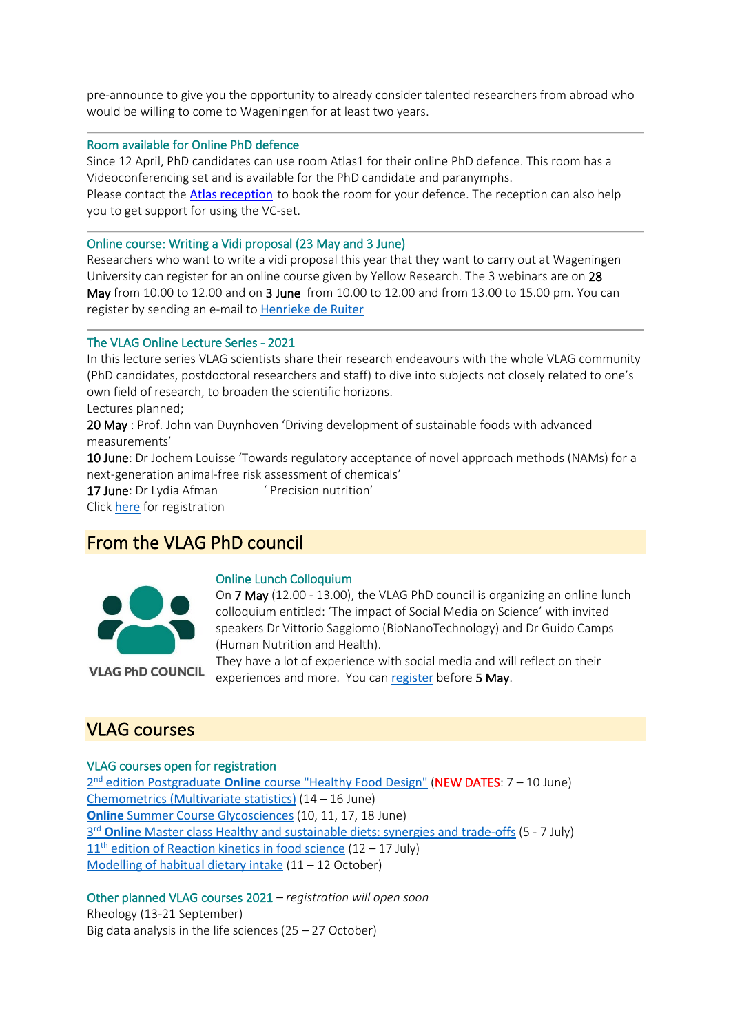pre-announce to give you the opportunity to already consider talented researchers from abroad who would be willing to come to Wageningen for at least two years.

#### Room available for Online PhD defence

Since 12 April, PhD candidates can use room Atlas1 for their online PhD defence. This room has a Videoconferencing set and is available for the PhD candidate and paranymphs.

Please contact the **[Atlas reception](mailto:receptieatlas@wur.nl)** to book the room for your defence. The reception can also help you to get support for using the VC-set.

#### Online course: Writing a Vidi proposal (23 May and 3 June)

Researchers who want to write a vidi proposal this year that they want to carry out at Wageningen University can register for an online course given by Yellow Research. The 3 webinars are on 28 May from 10.00 to 12.00 and on 3 June from 10.00 to 12.00 and from 13.00 to 15.00 pm. You can register by sending an e-mail to [Henrieke de Ruiter](mailto:henrieke.deruiter@wur.nl)

#### The VLAG Online Lecture Series - 2021

In this lecture series VLAG scientists share their research endeavours with the whole VLAG community (PhD candidates, postdoctoral researchers and staff) to dive into subjects not closely related to one's own field of research, to broaden the scientific horizons. Lectures planned;

20 May : Prof. John van Duynhoven 'Driving development of sustainable foods with advanced measurements'

10 June: Dr Jochem Louisse 'Towards regulatory acceptance of novel approach methods (NAMs) for a next-generation animal-free risk assessment of chemicals'

17 June: Dr Lydia Afman ' Precision nutrition'

Click [here](https://eur03.safelinks.protection.outlook.com/?url=https%3A%2F%2Fwww.vlaggraduateschool.nl%2Fen%2Fcourses%2Fcourse%2FOnline-Lecture-Series-2.htm&data=04%7C01%7Ccornelia.vanbree-evers%40wur.nl%7C0d0173c0a9754b4eb5f208d905a6d55c%7C27d137e5761f4dc1af88d26430abb18f%7C0%7C0%7C637547036543233287%7CUnknown%7CTWFpbGZsb3d8eyJWIjoiMC4wLjAwMDAiLCJQIjoiV2luMzIiLCJBTiI6Ik1haWwiLCJXVCI6Mn0%3D%7C1000&sdata=10Ep%2BwFvEX0J%2FiJWBjPWr8SMFY3f8uuu%2BahwptSgLhw%3D&reserved=0) for registration

## From the VLAG PhD council



Online Lunch Colloquium

On 7 May (12.00 - 13.00), the VLAG PhD council is organizing an online lunch colloquium entitled: 'The impact of Social Media on Science' with invited speakers Dr Vittorio Saggiomo (BioNanoTechnology) and Dr Guido Camps (Human Nutrition and Health).

**VLAG PhD COUNCIL** 

They have a lot of experience with social media and will reflect on their experiences and more. You can [register](https://eur03.safelinks.protection.outlook.com/?url=https%3A%2F%2Fdocs.google.com%2Fforms%2Fd%2Fe%2F1FAIpQLSeC9f1-qYJyitEbFQz98YxiwFFFo-nHfy8x06Yi1RUUGN0smQ%2Fviewform&data=04%7C01%7Ccornelia.vanbree-evers%40wur.nl%7C0d0173c0a9754b4eb5f208d905a6d55c%7C27d137e5761f4dc1af88d26430abb18f%7C0%7C0%7C637547036543233287%7CUnknown%7CTWFpbGZsb3d8eyJWIjoiMC4wLjAwMDAiLCJQIjoiV2luMzIiLCJBTiI6Ik1haWwiLCJXVCI6Mn0%3D%7C1000&sdata=B8afB8ywSZjIM60T61bWqswUfWZJsdrgVFVnTjaI4%2Bo%3D&reserved=0) before 5 May.

### VLAG courses

#### VLAG courses open for registration

2nd edition Postgraduate **Online** [course "Healthy Food Design"](https://eur03.safelinks.protection.outlook.com/?url=https%3A%2F%2Fwww.vlaggraduateschool.nl%2Fen%2Fcourses%2Fcourse%2FHFD20.htm&data=04%7C01%7Ccornelia.vanbree-evers%40wur.nl%7C0d0173c0a9754b4eb5f208d905a6d55c%7C27d137e5761f4dc1af88d26430abb18f%7C0%7C0%7C637547036543243240%7CUnknown%7CTWFpbGZsb3d8eyJWIjoiMC4wLjAwMDAiLCJQIjoiV2luMzIiLCJBTiI6Ik1haWwiLCJXVCI6Mn0%3D%7C1000&sdata=sBGoje9xmqBjom4n2DoFvu86wdkE4vm9ubSWKFceWsQ%3D&reserved=0) (NEW DATES: 7 – 10 June) [Chemometrics \(Multivariate statistics\)](https://eur03.safelinks.protection.outlook.com/?url=https%3A%2F%2Fwww.vlaggraduateschool.nl%2Fen%2Fcourses%2FGeneral-courses%2FVLAG-general-courses%2FVLAG-Statistics-courses%2FChemometrics-Multivariate-Statistics.htm&data=04%7C01%7Ccornelia.vanbree-evers%40wur.nl%7C0d0173c0a9754b4eb5f208d905a6d55c%7C27d137e5761f4dc1af88d26430abb18f%7C0%7C0%7C637547036543243240%7CUnknown%7CTWFpbGZsb3d8eyJWIjoiMC4wLjAwMDAiLCJQIjoiV2luMzIiLCJBTiI6Ik1haWwiLCJXVCI6Mn0%3D%7C1000&sdata=cUdYzX3TAlNUQ%2B%2FswsK54Phf%2FwDJm9PThzE92ShRmE4%3D&reserved=0) (14 – 16 June) **Online** [Summer Course Glycosciences](https://eur03.safelinks.protection.outlook.com/?url=https%3A%2F%2Fwww.vlaggraduateschool.nl%2Fen%2Fcourses%2Fcourse%2FGlycosciences21.htm&data=04%7C01%7Ccornelia.vanbree-evers%40wur.nl%7C0d0173c0a9754b4eb5f208d905a6d55c%7C27d137e5761f4dc1af88d26430abb18f%7C0%7C0%7C637547036543253197%7CUnknown%7CTWFpbGZsb3d8eyJWIjoiMC4wLjAwMDAiLCJQIjoiV2luMzIiLCJBTiI6Ik1haWwiLCJXVCI6Mn0%3D%7C1000&sdata=T8KU8Z1aGUXY%2BTeiDIDATfNSlc4%2FGp%2FGzHx8suupMXg%3D&reserved=0) (10, 11, 17, 18 June) 3rd **Online** [Master class Healthy and sustainable diets: synergies and trade-offs](https://eur03.safelinks.protection.outlook.com/?url=https%3A%2F%2Fwww.vlaggraduateschool.nl%2Fen%2Fcourses%2Fcourse%2FHSD21.htm&data=04%7C01%7Ccornelia.vanbree-evers%40wur.nl%7C0d0173c0a9754b4eb5f208d905a6d55c%7C27d137e5761f4dc1af88d26430abb18f%7C0%7C0%7C637547036543253197%7CUnknown%7CTWFpbGZsb3d8eyJWIjoiMC4wLjAwMDAiLCJQIjoiV2luMzIiLCJBTiI6Ik1haWwiLCJXVCI6Mn0%3D%7C1000&sdata=qJLPYd%2B9Kk2iFBmwo0zMhr0hvv2WyXKjxT5Hl6Mfffs%3D&reserved=0) (5 - 7 July) 11<sup>th</sup> [edition of Reaction kinetics in food science](https://eur03.safelinks.protection.outlook.com/?url=https%3A%2F%2Fwww.vlaggraduateschool.nl%2Fen%2Fcourses%2Fcourse%2FRK20.htm&data=04%7C01%7Ccornelia.vanbree-evers%40wur.nl%7C0d0173c0a9754b4eb5f208d905a6d55c%7C27d137e5761f4dc1af88d26430abb18f%7C0%7C0%7C637547036543263154%7CUnknown%7CTWFpbGZsb3d8eyJWIjoiMC4wLjAwMDAiLCJQIjoiV2luMzIiLCJBTiI6Ik1haWwiLCJXVCI6Mn0%3D%7C1000&sdata=P20LZia9tOzA2KgNsj54z1A6mjpUh77nrF3z%2BcldG5A%3D&reserved=0)  $(12 – 17$  July) [Modelling of habitual dietary intake](https://eur03.safelinks.protection.outlook.com/?url=https%3A%2F%2Fwww.vlaggraduateschool.nl%2Fen%2Fcourses%2Fcourse%2FMHDI21.htm&data=04%7C01%7Ccornelia.vanbree-evers%40wur.nl%7C0d0173c0a9754b4eb5f208d905a6d55c%7C27d137e5761f4dc1af88d26430abb18f%7C0%7C0%7C637547036543263154%7CUnknown%7CTWFpbGZsb3d8eyJWIjoiMC4wLjAwMDAiLCJQIjoiV2luMzIiLCJBTiI6Ik1haWwiLCJXVCI6Mn0%3D%7C1000&sdata=zLJRAyw4PIL8rFzODnDsgAPqjcgGy6hCoL505DARiyc%3D&reserved=0) (11 – 12 October)

Other planned VLAG courses 2021 *– registration will open soon* Rheology (13-21 September) Big data analysis in the life sciences  $(25 – 27 October)$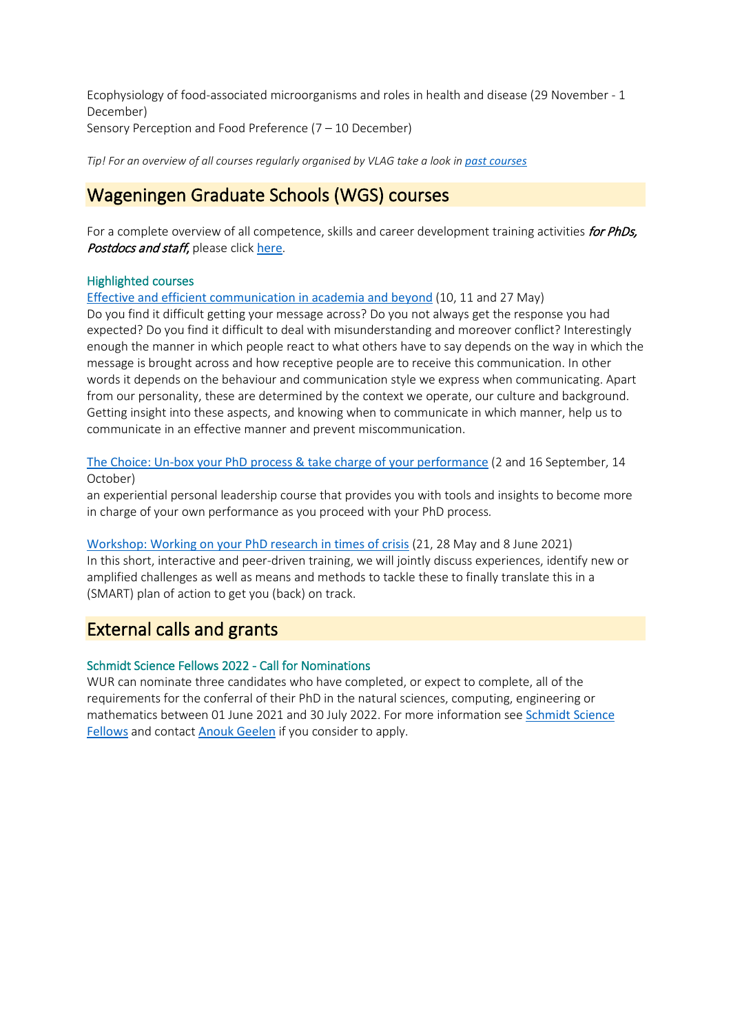Ecophysiology of food-associated microorganisms and roles in health and disease (29 November - 1 December) Sensory Perception and Food Preference (7 – 10 December)

*Tip! For an overview of all courses regularly organised by VLAG take a look in [past courses](https://eur03.safelinks.protection.outlook.com/?url=https%3A%2F%2Fwww.vlaggraduateschool.nl%2Fen%2Fcourses%2FScientific-courses%2Fpast_courses.htm&data=04%7C01%7Ccornelia.vanbree-evers%40wur.nl%7C0d0173c0a9754b4eb5f208d905a6d55c%7C27d137e5761f4dc1af88d26430abb18f%7C0%7C0%7C637547036543263154%7CUnknown%7CTWFpbGZsb3d8eyJWIjoiMC4wLjAwMDAiLCJQIjoiV2luMzIiLCJBTiI6Ik1haWwiLCJXVCI6Mn0%3D%7C1000&sdata=F5c8P4uB6D68f9QLYu95%2FhPrNlN7Np4ropJI%2B4ECym0%3D&reserved=0)* 

# Wageningen Graduate Schools (WGS) courses

For a complete overview of all competence, skills and career development training activities for PhDs, Postdocs and staff, please click [here](https://eur03.safelinks.protection.outlook.com/?url=https%3A%2F%2Fwgs.crs.wur.nl%2F&data=04%7C01%7Ccornelia.vanbree-evers%40wur.nl%7C0d0173c0a9754b4eb5f208d905a6d55c%7C27d137e5761f4dc1af88d26430abb18f%7C0%7C0%7C637547036543273105%7CUnknown%7CTWFpbGZsb3d8eyJWIjoiMC4wLjAwMDAiLCJQIjoiV2luMzIiLCJBTiI6Ik1haWwiLCJXVCI6Mn0%3D%7C1000&sdata=lWWzhkEw5k%2F9JluUGO3Px%2BagQ0dI3VfitOCCQhRTQtc%3D&reserved=0).

### Highlighted courses

[Effective and efficient communication in academia and beyond](https://eur03.safelinks.protection.outlook.com/?url=https%3A%2F%2Fwgs.crs.wur.nl%2Fcourses%2Fdetails%2F471&data=04%7C01%7Ccornelia.vanbree-evers%40wur.nl%7C0d0173c0a9754b4eb5f208d905a6d55c%7C27d137e5761f4dc1af88d26430abb18f%7C0%7C0%7C637547036543273105%7CUnknown%7CTWFpbGZsb3d8eyJWIjoiMC4wLjAwMDAiLCJQIjoiV2luMzIiLCJBTiI6Ik1haWwiLCJXVCI6Mn0%3D%7C1000&sdata=jzyAD7gLHky%2BcSPes%2FL99a%2BRS%2FdtrHEJXQgiqhfPufo%3D&reserved=0) (10, 11 and 27 May)

Do you find it difficult getting your message across? Do you not always get the response you had expected? Do you find it difficult to deal with misunderstanding and moreover conflict? Interestingly enough the manner in which people react to what others have to say depends on the way in which the message is brought across and how receptive people are to receive this communication. In other words it depends on the behaviour and communication style we express when communicating. Apart from our personality, these are determined by the context we operate, our culture and background. Getting insight into these aspects, and knowing when to communicate in which manner, help us to communicate in an effective manner and prevent miscommunication.

[The Choice: Un-box your PhD process & take charge of your performance](https://eur03.safelinks.protection.outlook.com/?url=https%3A%2F%2Fwgs.crs.wur.nl%2Fcourses%2Fdetails%2F381&data=04%7C01%7Ccornelia.vanbree-evers%40wur.nl%7C0d0173c0a9754b4eb5f208d905a6d55c%7C27d137e5761f4dc1af88d26430abb18f%7C0%7C0%7C637547036543283062%7CUnknown%7CTWFpbGZsb3d8eyJWIjoiMC4wLjAwMDAiLCJQIjoiV2luMzIiLCJBTiI6Ik1haWwiLCJXVCI6Mn0%3D%7C1000&sdata=bc%2FGcQYJjKVejhOevK%2BoiOnHC4E8GA5sTv4oH2k%2Bv3w%3D&reserved=0) (2 and 16 September, 14 October)

an experiential personal leadership course that provides you with tools and insights to become more in charge of your own performance as you proceed with your PhD process*.*

[Workshop: Working on your PhD research in times of crisis](https://eur03.safelinks.protection.outlook.com/?url=https%3A%2F%2Fwgs.crs.wur.nl%2Fcourses%2Fdetails%2F411%2F&data=04%7C01%7Ccornelia.vanbree-evers%40wur.nl%7C0d0173c0a9754b4eb5f208d905a6d55c%7C27d137e5761f4dc1af88d26430abb18f%7C0%7C0%7C637547036543283062%7CUnknown%7CTWFpbGZsb3d8eyJWIjoiMC4wLjAwMDAiLCJQIjoiV2luMzIiLCJBTiI6Ik1haWwiLCJXVCI6Mn0%3D%7C1000&sdata=M3%2FsqjLbq2HBj4v91VVX51kWqAxMcr9vz4RlZ6J7y6Y%3D&reserved=0) (21, 28 May and 8 June 2021) In this short, interactive and peer-driven training, we will jointly discuss experiences, identify new or amplified challenges as well as means and methods to tackle these to finally translate this in a (SMART) plan of action to get you (back) on track.

# External calls and grants

### Schmidt Science Fellows 2022 - Call for Nominations

WUR can nominate three candidates who have completed, or expect to complete, all of the requirements for the conferral of their PhD in the natural sciences, computing, engineering or mathematics between 01 June 2021 and 30 July 2022. For more information see [Schmidt Science](https://eur03.safelinks.protection.outlook.com/?url=https%3A%2F%2Fschmidtsciencefellows.org%2F&data=04%7C01%7Ccornelia.vanbree-evers%40wur.nl%7C0d0173c0a9754b4eb5f208d905a6d55c%7C27d137e5761f4dc1af88d26430abb18f%7C0%7C0%7C637547036543293021%7CUnknown%7CTWFpbGZsb3d8eyJWIjoiMC4wLjAwMDAiLCJQIjoiV2luMzIiLCJBTiI6Ik1haWwiLCJXVCI6Mn0%3D%7C1000&sdata=JCeBpP869Oy3SvvGNiE3CT5iqBbz72ER%2Five7%2FXa54Y%3D&reserved=0)  [Fellows](https://eur03.safelinks.protection.outlook.com/?url=https%3A%2F%2Fschmidtsciencefellows.org%2F&data=04%7C01%7Ccornelia.vanbree-evers%40wur.nl%7C0d0173c0a9754b4eb5f208d905a6d55c%7C27d137e5761f4dc1af88d26430abb18f%7C0%7C0%7C637547036543293021%7CUnknown%7CTWFpbGZsb3d8eyJWIjoiMC4wLjAwMDAiLCJQIjoiV2luMzIiLCJBTiI6Ik1haWwiLCJXVCI6Mn0%3D%7C1000&sdata=JCeBpP869Oy3SvvGNiE3CT5iqBbz72ER%2Five7%2FXa54Y%3D&reserved=0) and contact [Anouk Geelen](mailto:anouk.geelen@wur.nl) if you consider to apply.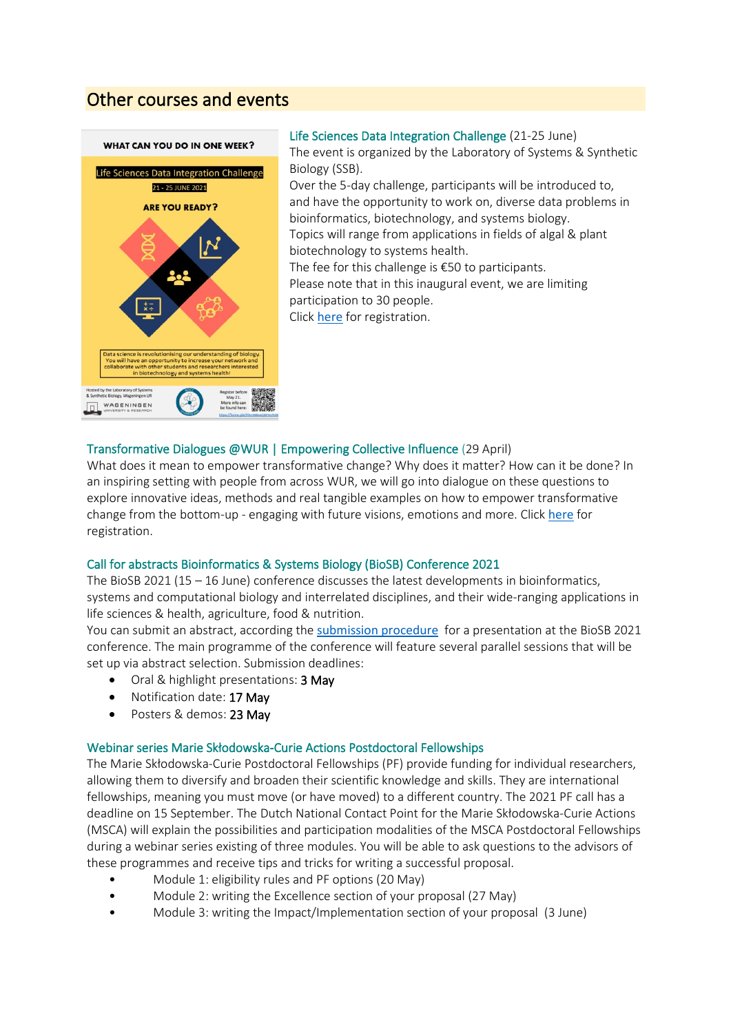# Other courses and events



Life Sciences Data Integration Challenge (21-25 June) The event is organized by the Laboratory of Systems & Synthetic Biology (SSB). Over the 5-day challenge, participants will be introduced to, and have the opportunity to work on, diverse data problems in bioinformatics, biotechnology, and systems biology. Topics will range from applications in fields of algal & plant biotechnology to systems health. The fee for this challenge is €50 to participants. Please note that in this inaugural event, we are limiting participation to 30 people. Click [here](https://eur03.safelinks.protection.outlook.com/?url=https%3A%2F%2Fdocs.google.com%2Fforms%2Fd%2Fe%2F1FAIpQLSeHF753hD7Y8bs_yFvJp-I4njMvbXfUik-iCjZDwZYvB0YHTA%2Fviewform&data=04%7C01%7Ccornelia.vanbree-evers%40wur.nl%7C0d0173c0a9754b4eb5f208d905a6d55c%7C27d137e5761f4dc1af88d26430abb18f%7C0%7C0%7C637547036543302967%7CUnknown%7CTWFpbGZsb3d8eyJWIjoiMC4wLjAwMDAiLCJQIjoiV2luMzIiLCJBTiI6Ik1haWwiLCJXVCI6Mn0%3D%7C1000&sdata=J8z%2F0qPM%2FlKieYnAWc7447%2BXeBfMtgS%2B5DDTRl1mqaA%3D&reserved=0) for registration.

### Transformative Dialogues @WUR | Empowering Collective Influence (29 April)

What does it mean to empower transformative change? Why does it matter? How can it be done? In an inspiring setting with people from across WUR, we will go into dialogue on these questions to explore innovative ideas, methods and real tangible examples on how to empower transformative change from the bottom-up - engaging with future visions, emotions and more. Click [here](https://eur03.safelinks.protection.outlook.com/?url=https%3A%2F%2Fforms.office.com%2FPages%2FResponsePage.aspx%3Fid%3D5TfRJx92wU2viNJkMKuxjxtWkAFVDydLqa4vI77PzqNUNzFBTzhXRlVRMVg3VlpIVjBNM0pIQUpZWi4u&data=04%7C01%7Ccornelia.vanbree-evers%40wur.nl%7C0d0173c0a9754b4eb5f208d905a6d55c%7C27d137e5761f4dc1af88d26430abb18f%7C0%7C0%7C637547036543302967%7CUnknown%7CTWFpbGZsb3d8eyJWIjoiMC4wLjAwMDAiLCJQIjoiV2luMzIiLCJBTiI6Ik1haWwiLCJXVCI6Mn0%3D%7C1000&sdata=ba6u9tKkdnssk7pjRjkMqy5HWpHi5khh0bv1P6%2Fuo1w%3D&reserved=0) for registration.

### Call for abstracts Bioinformatics & Systems Biology (BioSB) Conference 2021

The BioSB 2021 (15 – 16 June) conference discusses the latest developments in bioinformatics, systems and computational biology and interrelated disciplines, and their wide-ranging applications in life sciences & health, agriculture, food & nutrition.

You can submit an abstract, according the [submission procedure](https://eur03.safelinks.protection.outlook.com/?url=https%3A%2F%2Fwww.aanmelder.nl%2Fbiosb2021%2Fabstract-submission&data=04%7C01%7Ccornelia.vanbree-evers%40wur.nl%7C0d0173c0a9754b4eb5f208d905a6d55c%7C27d137e5761f4dc1af88d26430abb18f%7C0%7C0%7C637547036543312929%7CUnknown%7CTWFpbGZsb3d8eyJWIjoiMC4wLjAwMDAiLCJQIjoiV2luMzIiLCJBTiI6Ik1haWwiLCJXVCI6Mn0%3D%7C1000&sdata=lwQpcMEc5HYS%2B37KwThpj5gTbW5q1B6PvjqjGsozGVw%3D&reserved=0) for a presentation at the BioSB 2021 conference. The main programme of the conference will feature several parallel sessions that will be set up via abstract selection. Submission deadlines:

- Oral & highlight presentations: 3 May
- Notification date: 17 May
- Posters & demos: 23 May

### Webinar series Marie Skłodowska-Curie Actions Postdoctoral Fellowships

The Marie Skłodowska-Curie Postdoctoral Fellowships (PF) provide funding for individual researchers, allowing them to diversify and broaden their scientific knowledge and skills. They are international fellowships, meaning you must move (or have moved) to a different country. The 2021 PF call has a deadline on 15 September. The Dutch National Contact Point for the Marie Skłodowska-Curie Actions (MSCA) will explain the possibilities and participation modalities of the MSCA Postdoctoral Fellowships during a webinar series existing of three modules. You will be able to ask questions to the advisors of these programmes and receive tips and tricks for writing a successful proposal.

- Module 1: eligibility rules and PF options (20 May)
- Module 2: writing the Excellence section of your proposal (27 May)
- Module 3: writing the Impact/Implementation section of your proposal (3 June)